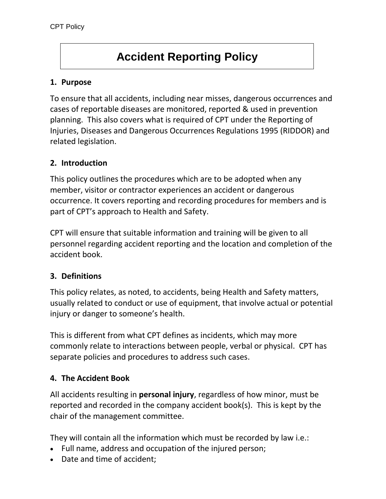# **Accident Reporting Policy**

## **1. Purpose**

To ensure that all accidents, including near misses, dangerous occurrences and cases of reportable diseases are monitored, reported & used in prevention planning. This also covers what is required of CPT under the Reporting of Injuries, Diseases and Dangerous Occurrences Regulations 1995 (RIDDOR) and related legislation.

## **2. Introduction**

This policy outlines the procedures which are to be adopted when any member, visitor or contractor experiences an accident or dangerous occurrence. It covers reporting and recording procedures for members and is part of CPT's approach to Health and Safety.

CPT will ensure that suitable information and training will be given to all personnel regarding accident reporting and the location and completion of the accident book.

## **3. Definitions**

This policy relates, as noted, to accidents, being Health and Safety matters, usually related to conduct or use of equipment, that involve actual or potential injury or danger to someone's health.

This is different from what CPT defines as incidents, which may more commonly relate to interactions between people, verbal or physical. CPT has separate policies and procedures to address such cases.

## **4. The Accident Book**

All accidents resulting in **personal injury**, regardless of how minor, must be reported and recorded in the company accident book(s). This is kept by the chair of the management committee.

They will contain all the information which must be recorded by law i.e.:

- Full name, address and occupation of the injured person;
- Date and time of accident;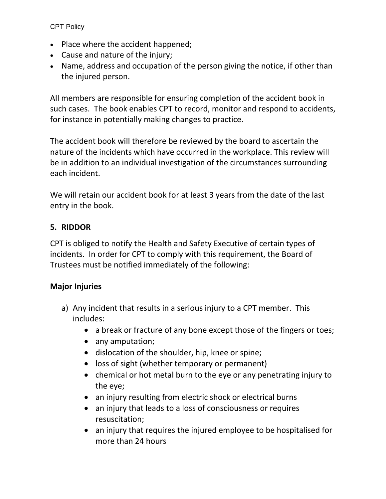CPT Policy

- Place where the accident happened;
- Cause and nature of the injury;
- Name, address and occupation of the person giving the notice, if other than the injured person.

All members are responsible for ensuring completion of the accident book in such cases. The book enables CPT to record, monitor and respond to accidents, for instance in potentially making changes to practice.

The accident book will therefore be reviewed by the board to ascertain the nature of the incidents which have occurred in the workplace. This review will be in addition to an individual investigation of the circumstances surrounding each incident.

We will retain our accident book for at least 3 years from the date of the last entry in the book.

## **5. RIDDOR**

CPT is obliged to notify the Health and Safety Executive of certain types of incidents. In order for CPT to comply with this requirement, the Board of Trustees must be notified immediately of the following:

## **Major Injuries**

- a) Any incident that results in a serious injury to a CPT member. This includes:
	- a break or fracture of any bone except those of the fingers or toes;
	- any amputation;
	- dislocation of the shoulder, hip, knee or spine;
	- loss of sight (whether temporary or permanent)
	- chemical or hot metal burn to the eye or any penetrating injury to the eye;
	- an injury resulting from electric shock or electrical burns
	- an injury that leads to a loss of consciousness or requires resuscitation;
	- an injury that requires the injured employee to be hospitalised for more than 24 hours